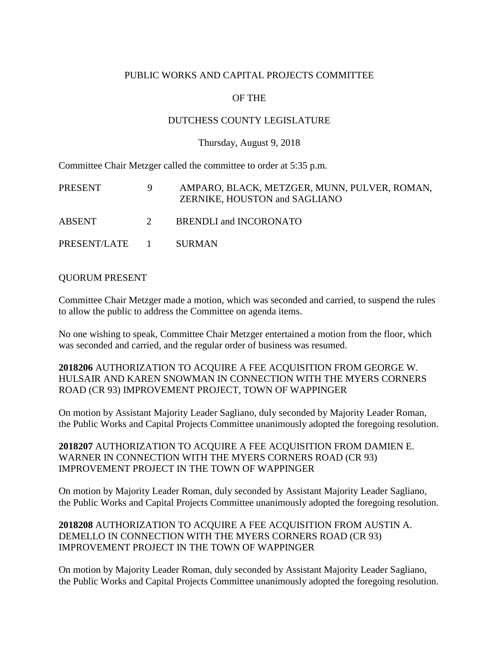## PUBLIC WORKS AND CAPITAL PROJECTS COMMITTEE

# OF THE

### DUTCHESS COUNTY LEGISLATURE

#### Thursday, August 9, 2018

Committee Chair Metzger called the committee to order at 5:35 p.m.

| PRESENT        | 9 | AMPARO, BLACK, METZGER, MUNN, PULVER, ROMAN,<br>ZERNIKE, HOUSTON and SAGLIANO |
|----------------|---|-------------------------------------------------------------------------------|
| ABSENT         | 2 | BRENDLI and INCORONATO                                                        |
| PRESENT/LATE 1 |   | <b>SURMAN</b>                                                                 |

#### QUORUM PRESENT

Committee Chair Metzger made a motion, which was seconded and carried, to suspend the rules to allow the public to address the Committee on agenda items.

No one wishing to speak, Committee Chair Metzger entertained a motion from the floor, which was seconded and carried, and the regular order of business was resumed.

## **2018206** AUTHORIZATION TO ACQUIRE A FEE ACQUISITION FROM GEORGE W. HULSAIR AND KAREN SNOWMAN IN CONNECTION WITH THE MYERS CORNERS ROAD (CR 93) IMPROVEMENT PROJECT, TOWN OF WAPPINGER

On motion by Assistant Majority Leader Sagliano, duly seconded by Majority Leader Roman, the Public Works and Capital Projects Committee unanimously adopted the foregoing resolution.

## **2018207** AUTHORIZATION TO ACQUIRE A FEE ACQUISITION FROM DAMIEN E. WARNER IN CONNECTION WITH THE MYERS CORNERS ROAD (CR 93) IMPROVEMENT PROJECT IN THE TOWN OF WAPPINGER

On motion by Majority Leader Roman, duly seconded by Assistant Majority Leader Sagliano, the Public Works and Capital Projects Committee unanimously adopted the foregoing resolution.

## **2018208** AUTHORIZATION TO ACQUIRE A FEE ACQUISITION FROM AUSTIN A. DEMELLO IN CONNECTION WITH THE MYERS CORNERS ROAD (CR 93) IMPROVEMENT PROJECT IN THE TOWN OF WAPPINGER

On motion by Majority Leader Roman, duly seconded by Assistant Majority Leader Sagliano, the Public Works and Capital Projects Committee unanimously adopted the foregoing resolution.